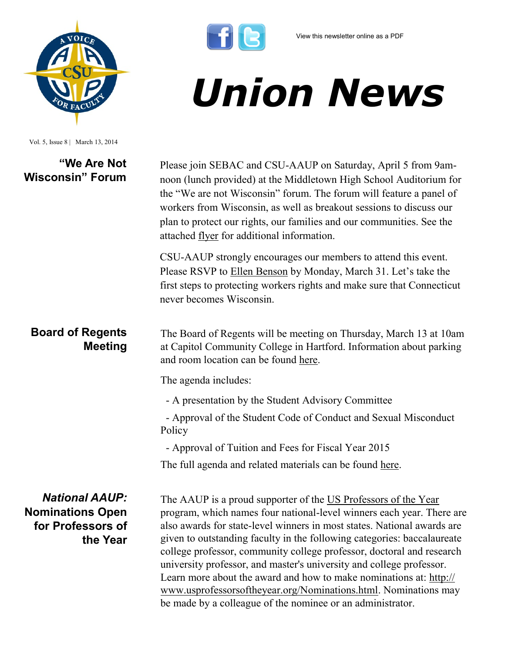*Union News*



| Vol. 5, Issue 8   March 13, 2014                                                  |                                                                                                                                                                                                                                                                                                                                                                                                                                                                                                                                                                                         |
|-----------------------------------------------------------------------------------|-----------------------------------------------------------------------------------------------------------------------------------------------------------------------------------------------------------------------------------------------------------------------------------------------------------------------------------------------------------------------------------------------------------------------------------------------------------------------------------------------------------------------------------------------------------------------------------------|
| "We Are Not<br><b>Wisconsin" Forum</b>                                            | Please join SEBAC and CSU-AAUP on Saturday, April 5 from 9am-<br>noon (lunch provided) at the Middletown High School Auditorium for<br>the "We are not Wisconsin" forum. The forum will feature a panel of<br>workers from Wisconsin, as well as breakout sessions to discuss our<br>plan to protect our rights, our families and our communities. See the<br>attached <u>flyer</u> for additional information.                                                                                                                                                                         |
|                                                                                   | CSU-AAUP strongly encourages our members to attend this event.<br>Please RSVP to Ellen Benson by Monday, March 31. Let's take the<br>first steps to protecting workers rights and make sure that Connecticut<br>never becomes Wisconsin.                                                                                                                                                                                                                                                                                                                                                |
| <b>Board of Regents</b><br><b>Meeting</b>                                         | The Board of Regents will be meeting on Thursday, March 13 at 10am<br>at Capitol Community College in Hartford. Information about parking<br>and room location can be found here.                                                                                                                                                                                                                                                                                                                                                                                                       |
|                                                                                   | The agenda includes:                                                                                                                                                                                                                                                                                                                                                                                                                                                                                                                                                                    |
|                                                                                   | - A presentation by the Student Advisory Committee                                                                                                                                                                                                                                                                                                                                                                                                                                                                                                                                      |
|                                                                                   | - Approval of the Student Code of Conduct and Sexual Misconduct<br>Policy                                                                                                                                                                                                                                                                                                                                                                                                                                                                                                               |
|                                                                                   | - Approval of Tuition and Fees for Fiscal Year 2015                                                                                                                                                                                                                                                                                                                                                                                                                                                                                                                                     |
|                                                                                   | The full agenda and related materials can be found here.                                                                                                                                                                                                                                                                                                                                                                                                                                                                                                                                |
| <b>National AAUP:</b><br><b>Nominations Open</b><br>for Professors of<br>the Year | The AAUP is a proud supporter of the US Professors of the Year<br>program, which names four national-level winners each year. There are<br>also awards for state-level winners in most states. National awards are<br>given to outstanding faculty in the following categories: baccalaureate<br>college professor, community college professor, doctoral and research<br>university professor, and master's university and college professor.<br>Learn more about the award and how to make nominations at: http://<br>www.usprofessorsoftheyear.org/Nominations.html. Nominations may |

 $\mathbf{f}[\mathbf{e}]$ 

be made by a colleague of the nominee or an administrator.